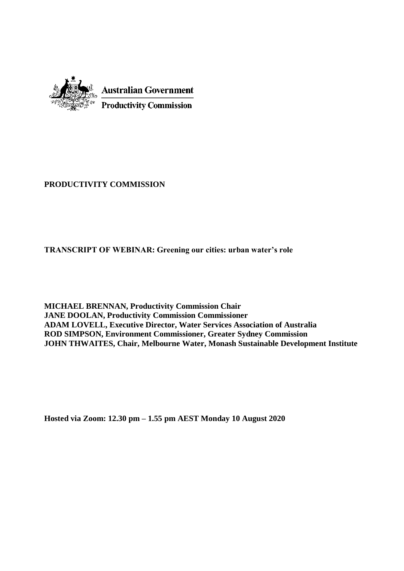

#### **PRODUCTIVITY COMMISSION**

**TRANSCRIPT OF WEBINAR: Greening our cities: urban water's role**

**MICHAEL BRENNAN, Productivity Commission Chair JANE DOOLAN, Productivity Commission Commissioner ADAM LOVELL, Executive Director, Water Services Association of Australia ROD SIMPSON, Environment Commissioner, Greater Sydney Commission JOHN THWAITES, Chair, Melbourne Water, Monash Sustainable Development Institute**

**Hosted via Zoom: 12.30 pm – 1.55 pm AEST Monday 10 August 2020**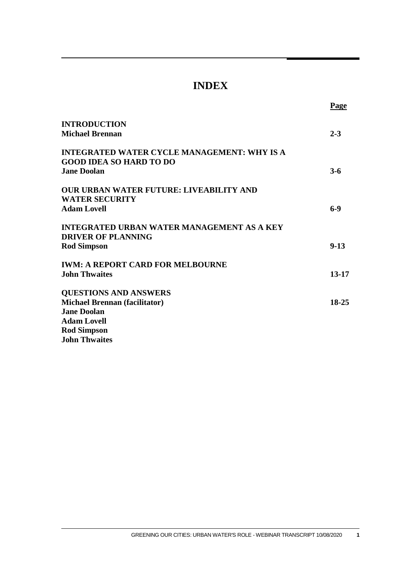### **INDEX**

 **Page**

| $2 - 3$ |        |
|---------|--------|
|         |        |
|         |        |
| $3-6$   |        |
|         |        |
|         |        |
| $6-9$   |        |
|         |        |
|         | $9-13$ |
|         |        |
| 13-17   |        |
|         |        |
| 18-25   |        |
|         |        |
|         |        |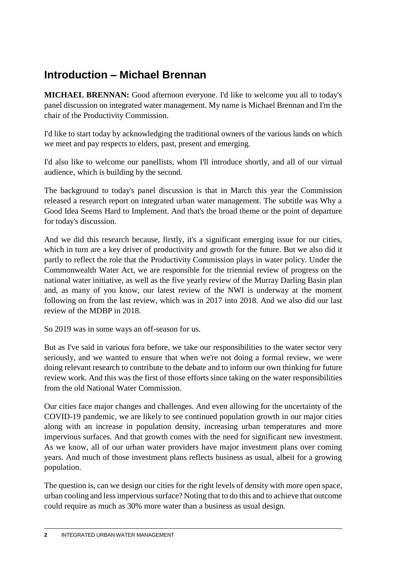# **Introduction – Michael Brennan**

**MICHAEL BRENNAN:** Good afternoon everyone. I'd like to welcome you all to today's panel discussion on integrated water management. My name is Michael Brennan and I'm the chair of the Productivity Commission.

I'd like to start today by acknowledging the traditional owners of the various lands on which we meet and pay respects to elders, past, present and emerging.

I'd also like to welcome our panellists, whom I'll introduce shortly, and all of our virtual audience, which is building by the second.

The background to today's panel discussion is that in March this year the Commission released a research report on integrated urban water management. The subtitle was Why a Good Idea Seems Hard to Implement. And that's the broad theme or the point of departure for today's discussion.

And we did this research because, firstly, it's a significant emerging issue for our cities, which in turn are a key driver of productivity and growth for the future. But we also did it partly to reflect the role that the Productivity Commission plays in water policy. Under the Commonwealth Water Act, we are responsible for the triennial review of progress on the national water initiative, as well as the five yearly review of the Murray Darling Basin plan and, as many of you know, our latest review of the NWI is underway at the moment following on from the last review, which was in 2017 into 2018. And we also did our last review of the MDBP in 2018.

So 2019 was in some ways an off-season for us.

But as I've said in various fora before, we take our responsibilities to the water sector very seriously, and we wanted to ensure that when we're not doing a formal review, we were doing relevant research to contribute to the debate and to inform our own thinking for future review work. And this was the first of those efforts since taking on the water responsibilities from the old National Water Commission.

Our cities face major changes and challenges. And even allowing for the uncertainty of the COVID-19 pandemic, we are likely to see continued population growth in our major cities along with an increase in population density, increasing urban temperatures and more impervious surfaces. And that growth comes with the need for significant new investment. As we know, all of our urban water providers have major investment plans over coming years. And much of those investment plans reflects business as usual, albeit for a growing population.

The question is, can we design our cities for the right levels of density with more open space, urban cooling and less impervious surface? Noting that to do this and to achieve that outcome could require as much as 30% more water than a business as usual design.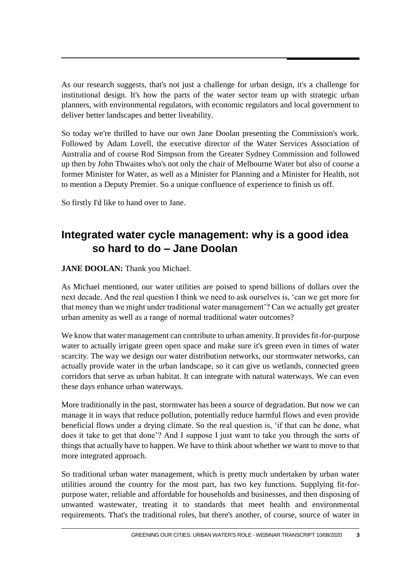As our research suggests, that's not just a challenge for urban design, it's a challenge for institutional design. It's how the parts of the water sector team up with strategic urban planners, with environmental regulators, with economic regulators and local government to deliver better landscapes and better liveability.

So today we're thrilled to have our own Jane Doolan presenting the Commission's work. Followed by Adam Lovell, the executive director of the Water Services Association of Australia and of course Rod Simpson from the Greater Sydney Commission and followed up then by John Thwaites who's not only the chair of Melbourne Water but also of course a former Minister for Water, as well as a Minister for Planning and a Minister for Health, not to mention a Deputy Premier. So a unique confluence of experience to finish us off.

So firstly I'd like to hand over to Jane.

# **Integrated water cycle management: why is a good idea so hard to do – Jane Doolan**

#### **JANE DOOLAN:** Thank you Michael.

As Michael mentioned, our water utilities are poised to spend billions of dollars over the next decade. And the real question I think we need to ask ourselves is, 'can we get more for that money than we might under traditional water management'? Can we actually get greater urban amenity as well as a range of normal traditional water outcomes?

We know that water management can contribute to urban amenity. It provides fit-for-purpose water to actually irrigate green open space and make sure it's green even in times of water scarcity. The way we design our water distribution networks, our stormwater networks, can actually provide water in the urban landscape, so it can give us wetlands, connected green corridors that serve as urban habitat. It can integrate with natural waterways. We can even these days enhance urban waterways.

More traditionally in the past, stormwater has been a source of degradation. But now we can manage it in ways that reduce pollution, potentially reduce harmful flows and even provide beneficial flows under a drying climate. So the real question is, 'if that can be done, what does it take to get that done'? And I suppose I just want to take you through the sorts of things that actually have to happen. We have to think about whether we want to move to that more integrated approach.

So traditional urban water management, which is pretty much undertaken by urban water utilities around the country for the most part, has two key functions. Supplying fit-forpurpose water, reliable and affordable for households and businesses, and then disposing of unwanted wastewater, treating it to standards that meet health and environmental requirements. That's the traditional roles, but there's another, of course, source of water in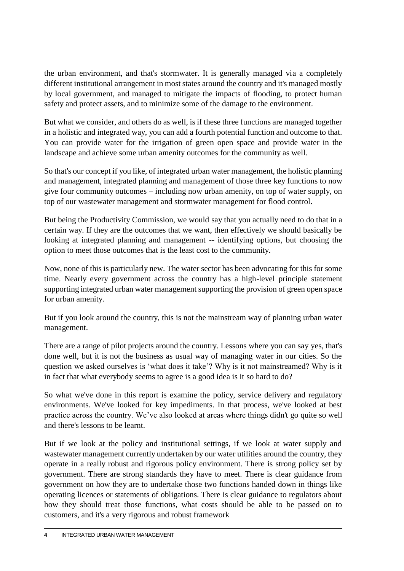the urban environment, and that's stormwater. It is generally managed via a completely different institutional arrangement in most states around the country and it's managed mostly by local government, and managed to mitigate the impacts of flooding, to protect human safety and protect assets, and to minimize some of the damage to the environment.

But what we consider, and others do as well, is if these three functions are managed together in a holistic and integrated way, you can add a fourth potential function and outcome to that. You can provide water for the irrigation of green open space and provide water in the landscape and achieve some urban amenity outcomes for the community as well.

So that's our concept if you like, of integrated urban water management, the holistic planning and management, integrated planning and management of those three key functions to now give four community outcomes – including now urban amenity, on top of water supply, on top of our wastewater management and stormwater management for flood control.

But being the Productivity Commission, we would say that you actually need to do that in a certain way. If they are the outcomes that we want, then effectively we should basically be looking at integrated planning and management -- identifying options, but choosing the option to meet those outcomes that is the least cost to the community.

Now, none of this is particularly new. The water sector has been advocating for this for some time. Nearly every government across the country has a high-level principle statement supporting integrated urban water management supporting the provision of green open space for urban amenity.

But if you look around the country, this is not the mainstream way of planning urban water management.

There are a range of pilot projects around the country. Lessons where you can say yes, that's done well, but it is not the business as usual way of managing water in our cities. So the question we asked ourselves is 'what does it take'? Why is it not mainstreamed? Why is it in fact that what everybody seems to agree is a good idea is it so hard to do?

So what we've done in this report is examine the policy, service delivery and regulatory environments. We've looked for key impediments. In that process, we've looked at best practice across the country. We've also looked at areas where things didn't go quite so well and there's lessons to be learnt.

But if we look at the policy and institutional settings, if we look at water supply and wastewater management currently undertaken by our water utilities around the country, they operate in a really robust and rigorous policy environment. There is strong policy set by government. There are strong standards they have to meet. There is clear guidance from government on how they are to undertake those two functions handed down in things like operating licences or statements of obligations. There is clear guidance to regulators about how they should treat those functions, what costs should be able to be passed on to customers, and it's a very rigorous and robust framework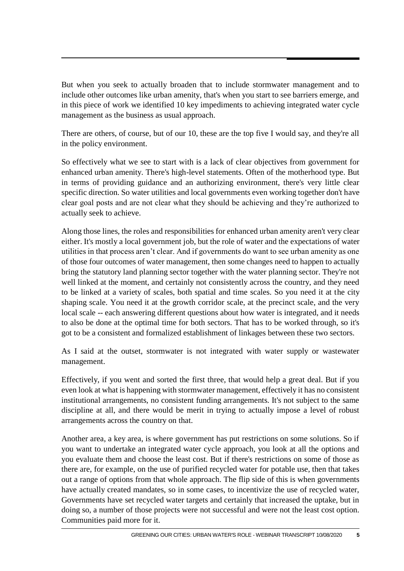But when you seek to actually broaden that to include stormwater management and to include other outcomes like urban amenity, that's when you start to see barriers emerge, and in this piece of work we identified 10 key impediments to achieving integrated water cycle management as the business as usual approach.

There are others, of course, but of our 10, these are the top five I would say, and they're all in the policy environment.

So effectively what we see to start with is a lack of clear objectives from government for enhanced urban amenity. There's high-level statements. Often of the motherhood type. But in terms of providing guidance and an authorizing environment, there's very little clear specific direction. So water utilities and local governments even working together don't have clear goal posts and are not clear what they should be achieving and they're authorized to actually seek to achieve.

Along those lines, the roles and responsibilities for enhanced urban amenity aren't very clear either. It's mostly a local government job, but the role of water and the expectations of water utilities in that process aren't clear. And if governments do want to see urban amenity as one of those four outcomes of water management, then some changes need to happen to actually bring the statutory land planning sector together with the water planning sector. They're not well linked at the moment, and certainly not consistently across the country, and they need to be linked at a variety of scales, both spatial and time scales. So you need it at the city shaping scale. You need it at the growth corridor scale, at the precinct scale, and the very local scale -- each answering different questions about how water is integrated, and it needs to also be done at the optimal time for both sectors. That has to be worked through, so it's got to be a consistent and formalized establishment of linkages between these two sectors.

As I said at the outset, stormwater is not integrated with water supply or wastewater management.

Effectively, if you went and sorted the first three, that would help a great deal. But if you even look at what is happening with stormwater management, effectively it has no consistent institutional arrangements, no consistent funding arrangements. It's not subject to the same discipline at all, and there would be merit in trying to actually impose a level of robust arrangements across the country on that.

Another area, a key area, is where government has put restrictions on some solutions. So if you want to undertake an integrated water cycle approach, you look at all the options and you evaluate them and choose the least cost. But if there's restrictions on some of those as there are, for example, on the use of purified recycled water for potable use, then that takes out a range of options from that whole approach. The flip side of this is when governments have actually created mandates, so in some cases, to incentivize the use of recycled water, Governments have set recycled water targets and certainly that increased the uptake, but in doing so, a number of those projects were not successful and were not the least cost option. Communities paid more for it.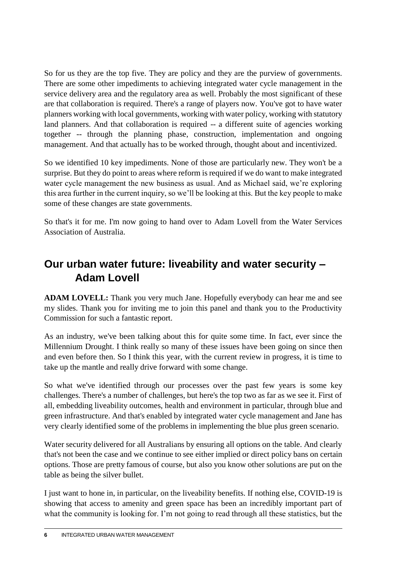So for us they are the top five. They are policy and they are the purview of governments. There are some other impediments to achieving integrated water cycle management in the service delivery area and the regulatory area as well. Probably the most significant of these are that collaboration is required. There's a range of players now. You've got to have water planners working with local governments, working with water policy, working with statutory land planners. And that collaboration is required -- a different suite of agencies working together -- through the planning phase, construction, implementation and ongoing management. And that actually has to be worked through, thought about and incentivized.

So we identified 10 key impediments. None of those are particularly new. They won't be a surprise. But they do point to areas where reform is required if we do want to make integrated water cycle management the new business as usual. And as Michael said, we're exploring this area further in the current inquiry, so we'll be looking at this. But the key people to make some of these changes are state governments.

So that's it for me. I'm now going to hand over to Adam Lovell from the Water Services Association of Australia.

## **Our urban water future: liveability and water security – Adam Lovell**

**ADAM LOVELL:** Thank you very much Jane. Hopefully everybody can hear me and see my slides. Thank you for inviting me to join this panel and thank you to the Productivity Commission for such a fantastic report.

As an industry, we've been talking about this for quite some time. In fact, ever since the Millennium Drought. I think really so many of these issues have been going on since then and even before then. So I think this year, with the current review in progress, it is time to take up the mantle and really drive forward with some change.

So what we've identified through our processes over the past few years is some key challenges. There's a number of challenges, but here's the top two as far as we see it. First of all, embedding liveability outcomes, health and environment in particular, through blue and green infrastructure. And that's enabled by integrated water cycle management and Jane has very clearly identified some of the problems in implementing the blue plus green scenario.

Water security delivered for all Australians by ensuring all options on the table. And clearly that's not been the case and we continue to see either implied or direct policy bans on certain options. Those are pretty famous of course, but also you know other solutions are put on the table as being the silver bullet.

I just want to hone in, in particular, on the liveability benefits. If nothing else, COVID-19 is showing that access to amenity and green space has been an incredibly important part of what the community is looking for. I'm not going to read through all these statistics, but the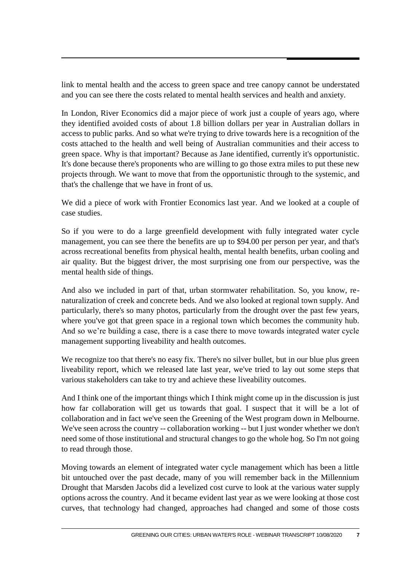link to mental health and the access to green space and tree canopy cannot be understated and you can see there the costs related to mental health services and health and anxiety.

In London, River Economics did a major piece of work just a couple of years ago, where they identified avoided costs of about 1.8 billion dollars per year in Australian dollars in access to public parks. And so what we're trying to drive towards here is a recognition of the costs attached to the health and well being of Australian communities and their access to green space. Why is that important? Because as Jane identified, currently it's opportunistic. It's done because there's proponents who are willing to go those extra miles to put these new projects through. We want to move that from the opportunistic through to the systemic, and that's the challenge that we have in front of us.

We did a piece of work with Frontier Economics last year. And we looked at a couple of case studies.

So if you were to do a large greenfield development with fully integrated water cycle management, you can see there the benefits are up to \$94.00 per person per year, and that's across recreational benefits from physical health, mental health benefits, urban cooling and air quality. But the biggest driver, the most surprising one from our perspective, was the mental health side of things.

And also we included in part of that, urban stormwater rehabilitation. So, you know, renaturalization of creek and concrete beds. And we also looked at regional town supply. And particularly, there's so many photos, particularly from the drought over the past few years, where you've got that green space in a regional town which becomes the community hub. And so we're building a case, there is a case there to move towards integrated water cycle management supporting liveability and health outcomes.

We recognize too that there's no easy fix. There's no silver bullet, but in our blue plus green liveability report, which we released late last year, we've tried to lay out some steps that various stakeholders can take to try and achieve these liveability outcomes.

And I think one of the important things which I think might come up in the discussion is just how far collaboration will get us towards that goal. I suspect that it will be a lot of collaboration and in fact we've seen the Greening of the West program down in Melbourne. We've seen across the country -- collaboration working -- but I just wonder whether we don't need some of those institutional and structural changes to go the whole hog. So I'm not going to read through those.

Moving towards an element of integrated water cycle management which has been a little bit untouched over the past decade, many of you will remember back in the Millennium Drought that Marsden Jacobs did a levelized cost curve to look at the various water supply options across the country. And it became evident last year as we were looking at those cost curves, that technology had changed, approaches had changed and some of those costs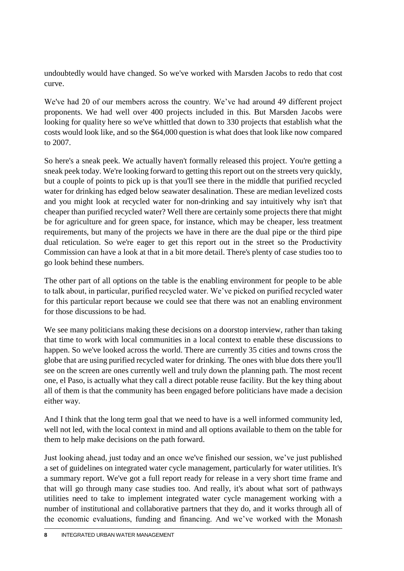undoubtedly would have changed. So we've worked with Marsden Jacobs to redo that cost curve.

We've had 20 of our members across the country. We've had around 49 different project proponents. We had well over 400 projects included in this. But Marsden Jacobs were looking for quality here so we've whittled that down to 330 projects that establish what the costs would look like, and so the \$64,000 question is what does that look like now compared to 2007.

So here's a sneak peek. We actually haven't formally released this project. You're getting a sneak peek today. We're looking forward to getting this report out on the streets very quickly, but a couple of points to pick up is that you'll see there in the middle that purified recycled water for drinking has edged below seawater desalination. These are median levelized costs and you might look at recycled water for non-drinking and say intuitively why isn't that cheaper than purified recycled water? Well there are certainly some projects there that might be for agriculture and for green space, for instance, which may be cheaper, less treatment requirements, but many of the projects we have in there are the dual pipe or the third pipe dual reticulation. So we're eager to get this report out in the street so the Productivity Commission can have a look at that in a bit more detail. There's plenty of case studies too to go look behind these numbers.

The other part of all options on the table is the enabling environment for people to be able to talk about, in particular, purified recycled water. We've picked on purified recycled water for this particular report because we could see that there was not an enabling environment for those discussions to be had.

We see many politicians making these decisions on a doorstop interview, rather than taking that time to work with local communities in a local context to enable these discussions to happen. So we've looked across the world. There are currently 35 cities and towns cross the globe that are using purified recycled water for drinking. The ones with blue dots there you'll see on the screen are ones currently well and truly down the planning path. The most recent one, el Paso, is actually what they call a direct potable reuse facility. But the key thing about all of them is that the community has been engaged before politicians have made a decision either way.

And I think that the long term goal that we need to have is a well informed community led, well not led, with the local context in mind and all options available to them on the table for them to help make decisions on the path forward.

Just looking ahead, just today and an once we've finished our session, we've just published a set of guidelines on integrated water cycle management, particularly for water utilities. It's a summary report. We've got a full report ready for release in a very short time frame and that will go through many case studies too. And really, it's about what sort of pathways utilities need to take to implement integrated water cycle management working with a number of institutional and collaborative partners that they do, and it works through all of the economic evaluations, funding and financing. And we've worked with the Monash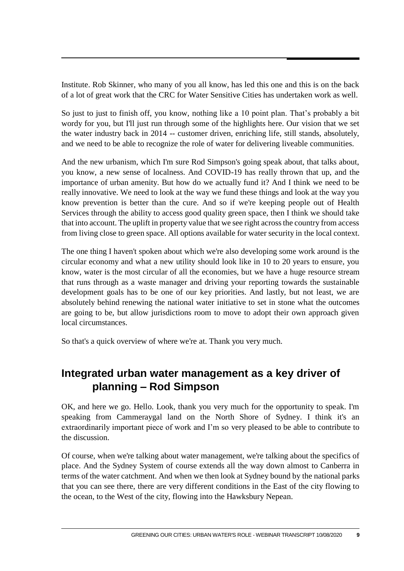Institute. Rob Skinner, who many of you all know, has led this one and this is on the back of a lot of great work that the CRC for Water Sensitive Cities has undertaken work as well.

So just to just to finish off, you know, nothing like a 10 point plan. That's probably a bit wordy for you, but I'll just run through some of the highlights here. Our vision that we set the water industry back in 2014 -- customer driven, enriching life, still stands, absolutely, and we need to be able to recognize the role of water for delivering liveable communities.

And the new urbanism, which I'm sure Rod Simpson's going speak about, that talks about, you know, a new sense of localness. And COVID-19 has really thrown that up, and the importance of urban amenity. But how do we actually fund it? And I think we need to be really innovative. We need to look at the way we fund these things and look at the way you know prevention is better than the cure. And so if we're keeping people out of Health Services through the ability to access good quality green space, then I think we should take that into account. The uplift in property value that we see right across the country from access from living close to green space. All options available for water security in the local context.

The one thing I haven't spoken about which we're also developing some work around is the circular economy and what a new utility should look like in 10 to 20 years to ensure, you know, water is the most circular of all the economies, but we have a huge resource stream that runs through as a waste manager and driving your reporting towards the sustainable development goals has to be one of our key priorities. And lastly, but not least, we are absolutely behind renewing the national water initiative to set in stone what the outcomes are going to be, but allow jurisdictions room to move to adopt their own approach given local circumstances.

So that's a quick overview of where we're at. Thank you very much.

### **Integrated urban water management as a key driver of planning – Rod Simpson**

OK, and here we go. Hello. Look, thank you very much for the opportunity to speak. I'm speaking from Cammeraygal land on the North Shore of Sydney. I think it's an extraordinarily important piece of work and I'm so very pleased to be able to contribute to the discussion.

Of course, when we're talking about water management, we're talking about the specifics of place. And the Sydney System of course extends all the way down almost to Canberra in terms of the water catchment. And when we then look at Sydney bound by the national parks that you can see there, there are very different conditions in the East of the city flowing to the ocean, to the West of the city, flowing into the Hawksbury Nepean.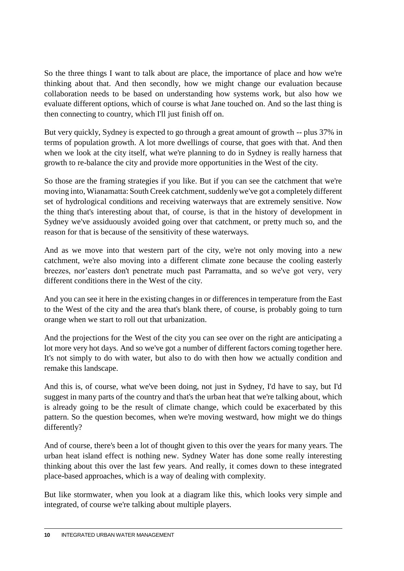So the three things I want to talk about are place, the importance of place and how we're thinking about that. And then secondly, how we might change our evaluation because collaboration needs to be based on understanding how systems work, but also how we evaluate different options, which of course is what Jane touched on. And so the last thing is then connecting to country, which I'll just finish off on.

But very quickly, Sydney is expected to go through a great amount of growth -- plus 37% in terms of population growth. A lot more dwellings of course, that goes with that. And then when we look at the city itself, what we're planning to do in Sydney is really harness that growth to re-balance the city and provide more opportunities in the West of the city.

So those are the framing strategies if you like. But if you can see the catchment that we're moving into, Wianamatta: South Creek catchment, suddenly we've got a completely different set of hydrological conditions and receiving waterways that are extremely sensitive. Now the thing that's interesting about that, of course, is that in the history of development in Sydney we've assiduously avoided going over that catchment, or pretty much so, and the reason for that is because of the sensitivity of these waterways.

And as we move into that western part of the city, we're not only moving into a new catchment, we're also moving into a different climate zone because the cooling easterly breezes, nor'easters don't penetrate much past Parramatta, and so we've got very, very different conditions there in the West of the city.

And you can see it here in the existing changes in or differences in temperature from the East to the West of the city and the area that's blank there, of course, is probably going to turn orange when we start to roll out that urbanization.

And the projections for the West of the city you can see over on the right are anticipating a lot more very hot days. And so we've got a number of different factors coming together here. It's not simply to do with water, but also to do with then how we actually condition and remake this landscape.

And this is, of course, what we've been doing, not just in Sydney, I'd have to say, but I'd suggest in many parts of the country and that's the urban heat that we're talking about, which is already going to be the result of climate change, which could be exacerbated by this pattern. So the question becomes, when we're moving westward, how might we do things differently?

And of course, there's been a lot of thought given to this over the years for many years. The urban heat island effect is nothing new. Sydney Water has done some really interesting thinking about this over the last few years. And really, it comes down to these integrated place-based approaches, which is a way of dealing with complexity.

But like stormwater, when you look at a diagram like this, which looks very simple and integrated, of course we're talking about multiple players.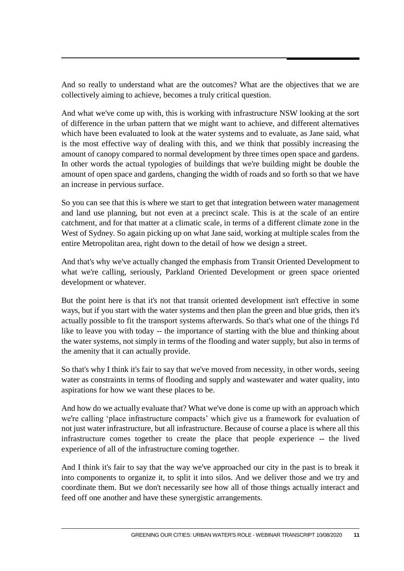And so really to understand what are the outcomes? What are the objectives that we are collectively aiming to achieve, becomes a truly critical question.

And what we've come up with, this is working with infrastructure NSW looking at the sort of difference in the urban pattern that we might want to achieve, and different alternatives which have been evaluated to look at the water systems and to evaluate, as Jane said, what is the most effective way of dealing with this, and we think that possibly increasing the amount of canopy compared to normal development by three times open space and gardens. In other words the actual typologies of buildings that we're building might be double the amount of open space and gardens, changing the width of roads and so forth so that we have an increase in pervious surface.

So you can see that this is where we start to get that integration between water management and land use planning, but not even at a precinct scale. This is at the scale of an entire catchment, and for that matter at a climatic scale, in terms of a different climate zone in the West of Sydney. So again picking up on what Jane said, working at multiple scales from the entire Metropolitan area, right down to the detail of how we design a street.

And that's why we've actually changed the emphasis from Transit Oriented Development to what we're calling, seriously, Parkland Oriented Development or green space oriented development or whatever.

But the point here is that it's not that transit oriented development isn't effective in some ways, but if you start with the water systems and then plan the green and blue grids, then it's actually possible to fit the transport systems afterwards. So that's what one of the things I'd like to leave you with today -- the importance of starting with the blue and thinking about the water systems, not simply in terms of the flooding and water supply, but also in terms of the amenity that it can actually provide.

So that's why I think it's fair to say that we've moved from necessity, in other words, seeing water as constraints in terms of flooding and supply and wastewater and water quality, into aspirations for how we want these places to be.

And how do we actually evaluate that? What we've done is come up with an approach which we're calling 'place infrastructure compacts' which give us a framework for evaluation of not just water infrastructure, but all infrastructure. Because of course a place is where all this infrastructure comes together to create the place that people experience -- the lived experience of all of the infrastructure coming together.

And I think it's fair to say that the way we've approached our city in the past is to break it into components to organize it, to split it into silos. And we deliver those and we try and coordinate them. But we don't necessarily see how all of those things actually interact and feed off one another and have these synergistic arrangements.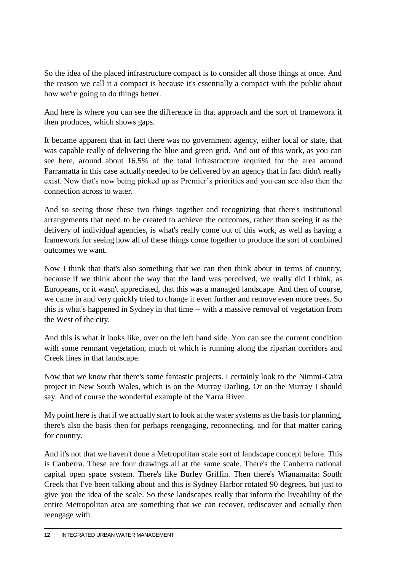So the idea of the placed infrastructure compact is to consider all those things at once. And the reason we call it a compact is because it's essentially a compact with the public about how we're going to do things better.

And here is where you can see the difference in that approach and the sort of framework it then produces, which shows gaps.

It became apparent that in fact there was no government agency, either local or state, that was capable really of delivering the blue and green grid. And out of this work, as you can see here, around about 16.5% of the total infrastructure required for the area around Parramatta in this case actually needed to be delivered by an agency that in fact didn't really exist. Now that's now being picked up as Premier's priorities and you can see also then the connection across to water.

And so seeing those these two things together and recognizing that there's institutional arrangements that need to be created to achieve the outcomes, rather than seeing it as the delivery of individual agencies, is what's really come out of this work, as well as having a framework for seeing how all of these things come together to produce the sort of combined outcomes we want.

Now I think that that's also something that we can then think about in terms of country, because if we think about the way that the land was perceived, we really did I think, as Europeans, or it wasn't appreciated, that this was a managed landscape. And then of course, we came in and very quickly tried to change it even further and remove even more trees. So this is what's happened in Sydney in that time -- with a massive removal of vegetation from the West of the city.

And this is what it looks like, over on the left hand side. You can see the current condition with some remnant vegetation, much of which is running along the riparian corridors and Creek lines in that landscape.

Now that we know that there's some fantastic projects. I certainly look to the Nimmi-Caira project in New South Wales, which is on the Murray Darling. Or on the Murray I should say. And of course the wonderful example of the Yarra River.

My point here is that if we actually start to look at the water systems as the basis for planning, there's also the basis then for perhaps reengaging, reconnecting, and for that matter caring for country.

And it's not that we haven't done a Metropolitan scale sort of landscape concept before. This is Canberra. These are four drawings all at the same scale. There's the Canberra national capital open space system. There's like Burley Griffin. Then there's Wianamatta: South Creek that I've been talking about and this is Sydney Harbor rotated 90 degrees, but just to give you the idea of the scale. So these landscapes really that inform the liveability of the entire Metropolitan area are something that we can recover, rediscover and actually then reengage with.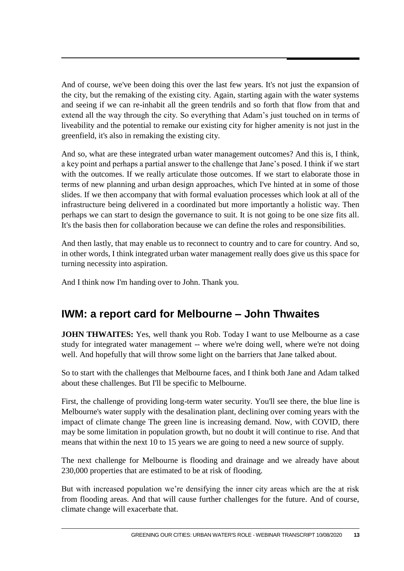And of course, we've been doing this over the last few years. It's not just the expansion of the city, but the remaking of the existing city. Again, starting again with the water systems and seeing if we can re-inhabit all the green tendrils and so forth that flow from that and extend all the way through the city. So everything that Adam's just touched on in terms of liveability and the potential to remake our existing city for higher amenity is not just in the greenfield, it's also in remaking the existing city.

And so, what are these integrated urban water management outcomes? And this is, I think, a key point and perhaps a partial answer to the challenge that Jane's posed. I think if we start with the outcomes. If we really articulate those outcomes. If we start to elaborate those in terms of new planning and urban design approaches, which I've hinted at in some of those slides. If we then accompany that with formal evaluation processes which look at all of the infrastructure being delivered in a coordinated but more importantly a holistic way. Then perhaps we can start to design the governance to suit. It is not going to be one size fits all. It's the basis then for collaboration because we can define the roles and responsibilities.

And then lastly, that may enable us to reconnect to country and to care for country. And so, in other words, I think integrated urban water management really does give us this space for turning necessity into aspiration.

And I think now I'm handing over to John. Thank you.

### **IWM: a report card for Melbourne – John Thwaites**

**JOHN THWAITES:** Yes, well thank you Rob. Today I want to use Melbourne as a case study for integrated water management -- where we're doing well, where we're not doing well. And hopefully that will throw some light on the barriers that Jane talked about.

So to start with the challenges that Melbourne faces, and I think both Jane and Adam talked about these challenges. But I'll be specific to Melbourne.

First, the challenge of providing long-term water security. You'll see there, the blue line is Melbourne's water supply with the desalination plant, declining over coming years with the impact of climate change The green line is increasing demand. Now, with COVID, there may be some limitation in population growth, but no doubt it will continue to rise. And that means that within the next 10 to 15 years we are going to need a new source of supply.

The next challenge for Melbourne is flooding and drainage and we already have about 230,000 properties that are estimated to be at risk of flooding.

But with increased population we're densifying the inner city areas which are the at risk from flooding areas. And that will cause further challenges for the future. And of course, climate change will exacerbate that.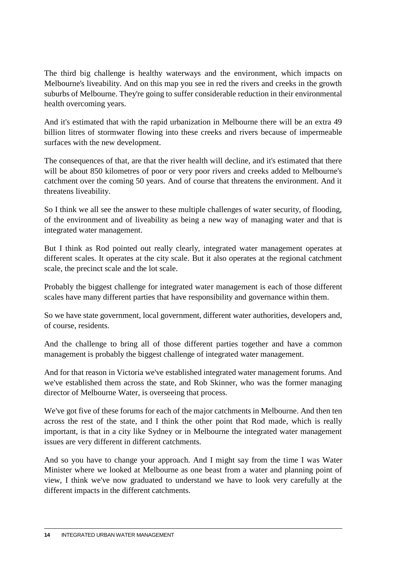The third big challenge is healthy waterways and the environment, which impacts on Melbourne's liveability. And on this map you see in red the rivers and creeks in the growth suburbs of Melbourne. They're going to suffer considerable reduction in their environmental health overcoming years.

And it's estimated that with the rapid urbanization in Melbourne there will be an extra 49 billion litres of stormwater flowing into these creeks and rivers because of impermeable surfaces with the new development.

The consequences of that, are that the river health will decline, and it's estimated that there will be about 850 kilometres of poor or very poor rivers and creeks added to Melbourne's catchment over the coming 50 years. And of course that threatens the environment. And it threatens liveability.

So I think we all see the answer to these multiple challenges of water security, of flooding, of the environment and of liveability as being a new way of managing water and that is integrated water management.

But I think as Rod pointed out really clearly, integrated water management operates at different scales. It operates at the city scale. But it also operates at the regional catchment scale, the precinct scale and the lot scale.

Probably the biggest challenge for integrated water management is each of those different scales have many different parties that have responsibility and governance within them.

So we have state government, local government, different water authorities, developers and, of course, residents.

And the challenge to bring all of those different parties together and have a common management is probably the biggest challenge of integrated water management.

And for that reason in Victoria we've established integrated water management forums. And we've established them across the state, and Rob Skinner, who was the former managing director of Melbourne Water, is overseeing that process.

We've got five of these forums for each of the major catchments in Melbourne. And then ten across the rest of the state, and I think the other point that Rod made, which is really important, is that in a city like Sydney or in Melbourne the integrated water management issues are very different in different catchments.

And so you have to change your approach. And I might say from the time I was Water Minister where we looked at Melbourne as one beast from a water and planning point of view, I think we've now graduated to understand we have to look very carefully at the different impacts in the different catchments.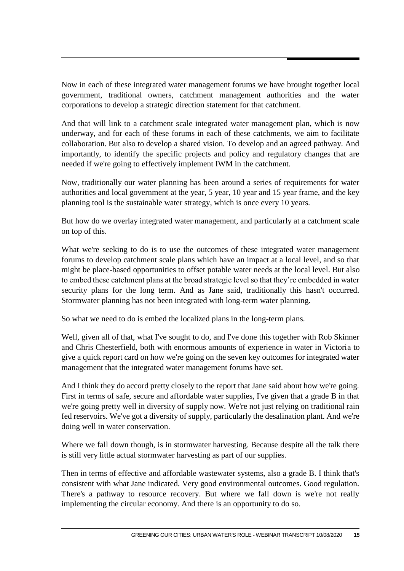Now in each of these integrated water management forums we have brought together local government, traditional owners, catchment management authorities and the water corporations to develop a strategic direction statement for that catchment.

And that will link to a catchment scale integrated water management plan, which is now underway, and for each of these forums in each of these catchments, we aim to facilitate collaboration. But also to develop a shared vision. To develop and an agreed pathway. And importantly, to identify the specific projects and policy and regulatory changes that are needed if we're going to effectively implement IWM in the catchment.

Now, traditionally our water planning has been around a series of requirements for water authorities and local government at the year, 5 year, 10 year and 15 year frame, and the key planning tool is the sustainable water strategy, which is once every 10 years.

But how do we overlay integrated water management, and particularly at a catchment scale on top of this.

What we're seeking to do is to use the outcomes of these integrated water management forums to develop catchment scale plans which have an impact at a local level, and so that might be place-based opportunities to offset potable water needs at the local level. But also to embed these catchment plans at the broad strategic level so that they're embedded in water security plans for the long term. And as Jane said, traditionally this hasn't occurred. Stormwater planning has not been integrated with long-term water planning.

So what we need to do is embed the localized plans in the long-term plans.

Well, given all of that, what I've sought to do, and I've done this together with Rob Skinner and Chris Chesterfield, both with enormous amounts of experience in water in Victoria to give a quick report card on how we're going on the seven key outcomes for integrated water management that the integrated water management forums have set.

And I think they do accord pretty closely to the report that Jane said about how we're going. First in terms of safe, secure and affordable water supplies, I've given that a grade B in that we're going pretty well in diversity of supply now. We're not just relying on traditional rain fed reservoirs. We've got a diversity of supply, particularly the desalination plant. And we're doing well in water conservation.

Where we fall down though, is in stormwater harvesting. Because despite all the talk there is still very little actual stormwater harvesting as part of our supplies.

Then in terms of effective and affordable wastewater systems, also a grade B. I think that's consistent with what Jane indicated. Very good environmental outcomes. Good regulation. There's a pathway to resource recovery. But where we fall down is we're not really implementing the circular economy. And there is an opportunity to do so.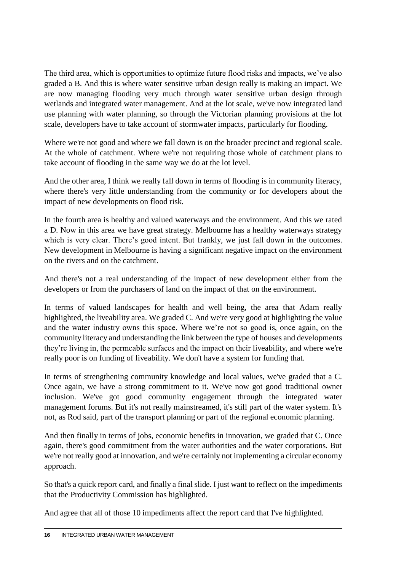The third area, which is opportunities to optimize future flood risks and impacts, we've also graded a B. And this is where water sensitive urban design really is making an impact. We are now managing flooding very much through water sensitive urban design through wetlands and integrated water management. And at the lot scale, we've now integrated land use planning with water planning, so through the Victorian planning provisions at the lot scale, developers have to take account of stormwater impacts, particularly for flooding.

Where we're not good and where we fall down is on the broader precinct and regional scale. At the whole of catchment. Where we're not requiring those whole of catchment plans to take account of flooding in the same way we do at the lot level.

And the other area, I think we really fall down in terms of flooding is in community literacy, where there's very little understanding from the community or for developers about the impact of new developments on flood risk.

In the fourth area is healthy and valued waterways and the environment. And this we rated a D. Now in this area we have great strategy. Melbourne has a healthy waterways strategy which is very clear. There's good intent. But frankly, we just fall down in the outcomes. New development in Melbourne is having a significant negative impact on the environment on the rivers and on the catchment.

And there's not a real understanding of the impact of new development either from the developers or from the purchasers of land on the impact of that on the environment.

In terms of valued landscapes for health and well being, the area that Adam really highlighted, the liveability area. We graded C. And we're very good at highlighting the value and the water industry owns this space. Where we're not so good is, once again, on the community literacy and understanding the link between the type of houses and developments they're living in, the permeable surfaces and the impact on their liveability, and where we're really poor is on funding of liveability. We don't have a system for funding that.

In terms of strengthening community knowledge and local values, we've graded that a C. Once again, we have a strong commitment to it. We've now got good traditional owner inclusion. We've got good community engagement through the integrated water management forums. But it's not really mainstreamed, it's still part of the water system. It's not, as Rod said, part of the transport planning or part of the regional economic planning.

And then finally in terms of jobs, economic benefits in innovation, we graded that C. Once again, there's good commitment from the water authorities and the water corporations. But we're not really good at innovation, and we're certainly not implementing a circular economy approach.

So that's a quick report card, and finally a final slide. I just want to reflect on the impediments that the Productivity Commission has highlighted.

And agree that all of those 10 impediments affect the report card that I've highlighted.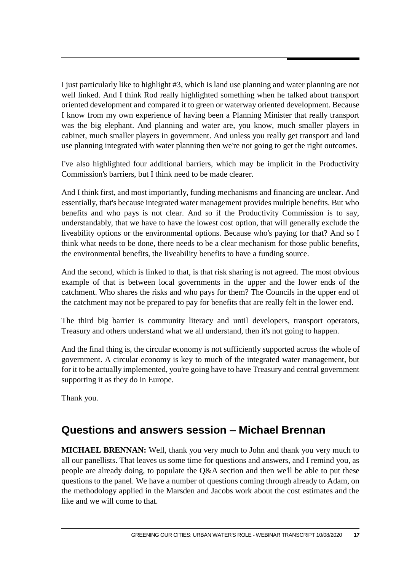I just particularly like to highlight #3, which is land use planning and water planning are not well linked. And I think Rod really highlighted something when he talked about transport oriented development and compared it to green or waterway oriented development. Because I know from my own experience of having been a Planning Minister that really transport was the big elephant. And planning and water are, you know, much smaller players in cabinet, much smaller players in government. And unless you really get transport and land use planning integrated with water planning then we're not going to get the right outcomes.

I've also highlighted four additional barriers, which may be implicit in the Productivity Commission's barriers, but I think need to be made clearer.

And I think first, and most importantly, funding mechanisms and financing are unclear. And essentially, that's because integrated water management provides multiple benefits. But who benefits and who pays is not clear. And so if the Productivity Commission is to say, understandably, that we have to have the lowest cost option, that will generally exclude the liveability options or the environmental options. Because who's paying for that? And so I think what needs to be done, there needs to be a clear mechanism for those public benefits, the environmental benefits, the liveability benefits to have a funding source.

And the second, which is linked to that, is that risk sharing is not agreed. The most obvious example of that is between local governments in the upper and the lower ends of the catchment. Who shares the risks and who pays for them? The Councils in the upper end of the catchment may not be prepared to pay for benefits that are really felt in the lower end.

The third big barrier is community literacy and until developers, transport operators, Treasury and others understand what we all understand, then it's not going to happen.

And the final thing is, the circular economy is not sufficiently supported across the whole of government. A circular economy is key to much of the integrated water management, but for it to be actually implemented, you're going have to have Treasury and central government supporting it as they do in Europe.

Thank you.

### **Questions and answers session – Michael Brennan**

**MICHAEL BRENNAN:** Well, thank you very much to John and thank you very much to all our panellists. That leaves us some time for questions and answers, and I remind you, as people are already doing, to populate the Q&A section and then we'll be able to put these questions to the panel. We have a number of questions coming through already to Adam, on the methodology applied in the Marsden and Jacobs work about the cost estimates and the like and we will come to that.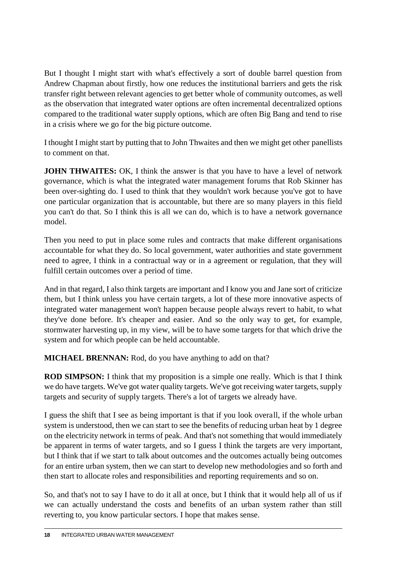But I thought I might start with what's effectively a sort of double barrel question from Andrew Chapman about firstly, how one reduces the institutional barriers and gets the risk transfer right between relevant agencies to get better whole of community outcomes, as well as the observation that integrated water options are often incremental decentralized options compared to the traditional water supply options, which are often Big Bang and tend to rise in a crisis where we go for the big picture outcome.

I thought I might start by putting that to John Thwaites and then we might get other panellists to comment on that.

**JOHN THWAITES:** OK, I think the answer is that you have to have a level of network governance, which is what the integrated water management forums that Rob Skinner has been over-sighting do. I used to think that they wouldn't work because you've got to have one particular organization that is accountable, but there are so many players in this field you can't do that. So I think this is all we can do, which is to have a network governance model.

Then you need to put in place some rules and contracts that make different organisations accountable for what they do. So local government, water authorities and state government need to agree, I think in a contractual way or in a agreement or regulation, that they will fulfill certain outcomes over a period of time.

And in that regard, I also think targets are important and I know you and Jane sort of criticize them, but I think unless you have certain targets, a lot of these more innovative aspects of integrated water management won't happen because people always revert to habit, to what they've done before. It's cheaper and easier. And so the only way to get, for example, stormwater harvesting up, in my view, will be to have some targets for that which drive the system and for which people can be held accountable.

**MICHAEL BRENNAN:** Rod, do you have anything to add on that?

**ROD SIMPSON:** I think that my proposition is a simple one really. Which is that I think we do have targets. We've got water quality targets. We've got receiving water targets, supply targets and security of supply targets. There's a lot of targets we already have.

I guess the shift that I see as being important is that if you look overall, if the whole urban system is understood, then we can start to see the benefits of reducing urban heat by 1 degree on the electricity network in terms of peak. And that's not something that would immediately be apparent in terms of water targets, and so I guess I think the targets are very important, but I think that if we start to talk about outcomes and the outcomes actually being outcomes for an entire urban system, then we can start to develop new methodologies and so forth and then start to allocate roles and responsibilities and reporting requirements and so on.

So, and that's not to say I have to do it all at once, but I think that it would help all of us if we can actually understand the costs and benefits of an urban system rather than still reverting to, you know particular sectors. I hope that makes sense.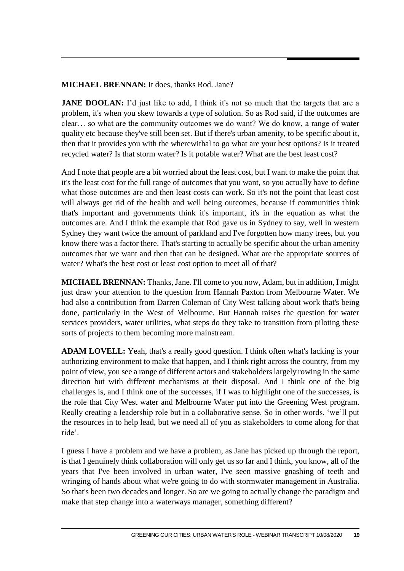#### **MICHAEL BRENNAN:** It does, thanks Rod. Jane?

**JANE DOOLAN:** I'd just like to add, I think it's not so much that the targets that are a problem, it's when you skew towards a type of solution. So as Rod said, if the outcomes are clear… so what are the community outcomes we do want? We do know, a range of water quality etc because they've still been set. But if there's urban amenity, to be specific about it, then that it provides you with the wherewithal to go what are your best options? Is it treated recycled water? Is that storm water? Is it potable water? What are the best least cost?

And I note that people are a bit worried about the least cost, but I want to make the point that it's the least cost for the full range of outcomes that you want, so you actually have to define what those outcomes are and then least costs can work. So it's not the point that least cost will always get rid of the health and well being outcomes, because if communities think that's important and governments think it's important, it's in the equation as what the outcomes are. And I think the example that Rod gave us in Sydney to say, well in western Sydney they want twice the amount of parkland and I've forgotten how many trees, but you know there was a factor there. That's starting to actually be specific about the urban amenity outcomes that we want and then that can be designed. What are the appropriate sources of water? What's the best cost or least cost option to meet all of that?

**MICHAEL BRENNAN:** Thanks, Jane. I'll come to you now, Adam, but in addition, I might just draw your attention to the question from Hannah Paxton from Melbourne Water. We had also a contribution from Darren Coleman of City West talking about work that's being done, particularly in the West of Melbourne. But Hannah raises the question for water services providers, water utilities, what steps do they take to transition from piloting these sorts of projects to them becoming more mainstream.

**ADAM LOVELL:** Yeah, that's a really good question. I think often what's lacking is your authorizing environment to make that happen, and I think right across the country, from my point of view, you see a range of different actors and stakeholders largely rowing in the same direction but with different mechanisms at their disposal. And I think one of the big challenges is, and I think one of the successes, if I was to highlight one of the successes, is the role that City West water and Melbourne Water put into the Greening West program. Really creating a leadership role but in a collaborative sense. So in other words, 'we'll put the resources in to help lead, but we need all of you as stakeholders to come along for that ride'.

I guess I have a problem and we have a problem, as Jane has picked up through the report, is that I genuinely think collaboration will only get us so far and I think, you know, all of the years that I've been involved in urban water, I've seen massive gnashing of teeth and wringing of hands about what we're going to do with stormwater management in Australia. So that's been two decades and longer. So are we going to actually change the paradigm and make that step change into a waterways manager, something different?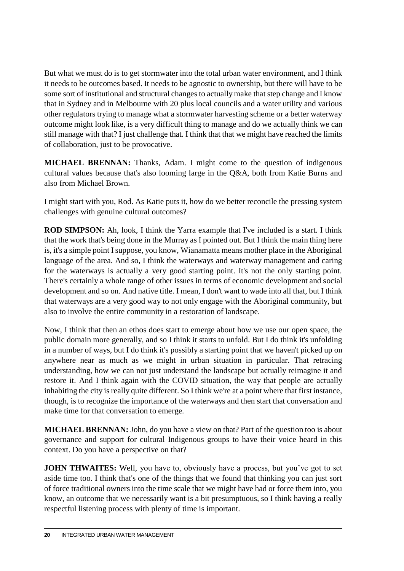But what we must do is to get stormwater into the total urban water environment, and I think it needs to be outcomes based. It needs to be agnostic to ownership, but there will have to be some sort of institutional and structural changes to actually make that step change and I know that in Sydney and in Melbourne with 20 plus local councils and a water utility and various other regulators trying to manage what a stormwater harvesting scheme or a better waterway outcome might look like, is a very difficult thing to manage and do we actually think we can still manage with that? I just challenge that. I think that that we might have reached the limits of collaboration, just to be provocative.

**MICHAEL BRENNAN:** Thanks, Adam. I might come to the question of indigenous cultural values because that's also looming large in the Q&A, both from Katie Burns and also from Michael Brown.

I might start with you, Rod. As Katie puts it, how do we better reconcile the pressing system challenges with genuine cultural outcomes?

**ROD SIMPSON:** Ah, look, I think the Yarra example that I've included is a start. I think that the work that's being done in the Murray as I pointed out. But I think the main thing here is, it's a simple point I suppose, you know, Wianamatta means mother place in the Aboriginal language of the area. And so, I think the waterways and waterway management and caring for the waterways is actually a very good starting point. It's not the only starting point. There's certainly a whole range of other issues in terms of economic development and social development and so on. And native title. I mean, I don't want to wade into all that, but I think that waterways are a very good way to not only engage with the Aboriginal community, but also to involve the entire community in a restoration of landscape.

Now, I think that then an ethos does start to emerge about how we use our open space, the public domain more generally, and so I think it starts to unfold. But I do think it's unfolding in a number of ways, but I do think it's possibly a starting point that we haven't picked up on anywhere near as much as we might in urban situation in particular. That retracing understanding, how we can not just understand the landscape but actually reimagine it and restore it. And I think again with the COVID situation, the way that people are actually inhabiting the city is really quite different. So I think we're at a point where that first instance, though, is to recognize the importance of the waterways and then start that conversation and make time for that conversation to emerge.

**MICHAEL BRENNAN:** John, do you have a view on that? Part of the question too is about governance and support for cultural Indigenous groups to have their voice heard in this context. Do you have a perspective on that?

**JOHN THWAITES:** Well, you have to, obviously have a process, but you've got to set aside time too. I think that's one of the things that we found that thinking you can just sort of force traditional owners into the time scale that we might have had or force them into, you know, an outcome that we necessarily want is a bit presumptuous, so I think having a really respectful listening process with plenty of time is important.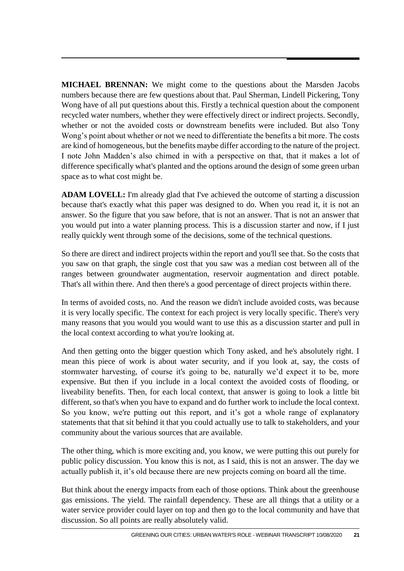**MICHAEL BRENNAN:** We might come to the questions about the Marsden Jacobs numbers because there are few questions about that. Paul Sherman, Lindell Pickering, Tony Wong have of all put questions about this. Firstly a technical question about the component recycled water numbers, whether they were effectively direct or indirect projects. Secondly, whether or not the avoided costs or downstream benefits were included. But also Tony Wong's point about whether or not we need to differentiate the benefits a bit more. The costs are kind of homogeneous, but the benefits maybe differ according to the nature of the project. I note John Madden's also chimed in with a perspective on that, that it makes a lot of difference specifically what's planted and the options around the design of some green urban space as to what cost might be.

**ADAM LOVELL:** I'm already glad that I've achieved the outcome of starting a discussion because that's exactly what this paper was designed to do. When you read it, it is not an answer. So the figure that you saw before, that is not an answer. That is not an answer that you would put into a water planning process. This is a discussion starter and now, if I just really quickly went through some of the decisions, some of the technical questions.

So there are direct and indirect projects within the report and you'll see that. So the costs that you saw on that graph, the single cost that you saw was a median cost between all of the ranges between groundwater augmentation, reservoir augmentation and direct potable. That's all within there. And then there's a good percentage of direct projects within there.

In terms of avoided costs, no. And the reason we didn't include avoided costs, was because it is very locally specific. The context for each project is very locally specific. There's very many reasons that you would you would want to use this as a discussion starter and pull in the local context according to what you're looking at.

And then getting onto the bigger question which Tony asked, and he's absolutely right. I mean this piece of work is about water security, and if you look at, say, the costs of stormwater harvesting, of course it's going to be, naturally we'd expect it to be, more expensive. But then if you include in a local context the avoided costs of flooding, or liveability benefits. Then, for each local context, that answer is going to look a little bit different, so that's when you have to expand and do further work to include the local context. So you know, we're putting out this report, and it's got a whole range of explanatory statements that that sit behind it that you could actually use to talk to stakeholders, and your community about the various sources that are available.

The other thing, which is more exciting and, you know, we were putting this out purely for public policy discussion. You know this is not, as I said, this is not an answer. The day we actually publish it, it's old because there are new projects coming on board all the time.

But think about the energy impacts from each of those options. Think about the greenhouse gas emissions. The yield. The rainfall dependency. These are all things that a utility or a water service provider could layer on top and then go to the local community and have that discussion. So all points are really absolutely valid.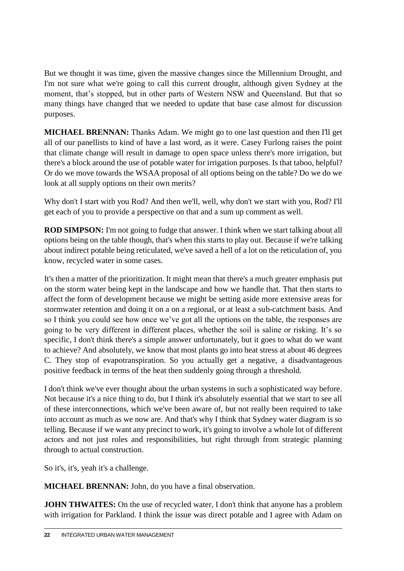But we thought it was time, given the massive changes since the Millennium Drought, and I'm not sure what we're going to call this current drought, although given Sydney at the moment, that's stopped, but in other parts of Western NSW and Queensland. But that so many things have changed that we needed to update that base case almost for discussion purposes.

**MICHAEL BRENNAN:** Thanks Adam. We might go to one last question and then I'll get all of our panellists to kind of have a last word, as it were. Casey Furlong raises the point that climate change will result in damage to open space unless there's more irrigation, but there's a block around the use of potable water for irrigation purposes. Is that taboo, helpful? Or do we move towards the WSAA proposal of all options being on the table? Do we do we look at all supply options on their own merits?

Why don't I start with you Rod? And then we'll, well, why don't we start with you, Rod? I'll get each of you to provide a perspective on that and a sum up comment as well.

**ROD SIMPSON:** I'm not going to fudge that answer. I think when we start talking about all options being on the table though, that's when this starts to play out. Because if we're talking about indirect potable being reticulated, we've saved a hell of a lot on the reticulation of, you know, recycled water in some cases.

It's then a matter of the prioritization. It might mean that there's a much greater emphasis put on the storm water being kept in the landscape and how we handle that. That then starts to affect the form of development because we might be setting aside more extensive areas for stormwater retention and doing it on a on a regional, or at least a sub-catchment basis. And so I think you could see how once we've got all the options on the table, the responses are going to be very different in different places, whether the soil is saline or risking. It's so specific, I don't think there's a simple answer unfortunately, but it goes to what do we want to achieve? And absolutely, we know that most plants go into heat stress at about 46 degrees C. They stop of evapotranspiration. So you actually get a negative, a disadvantageous positive feedback in terms of the heat then suddenly going through a threshold.

I don't think we've ever thought about the urban systems in such a sophisticated way before. Not because it's a nice thing to do, but I think it's absolutely essential that we start to see all of these interconnections, which we've been aware of, but not really been required to take into account as much as we now are. And that's why I think that Sydney water diagram is so telling. Because if we want any precinct to work, it's going to involve a whole lot of different actors and not just roles and responsibilities, but right through from strategic planning through to actual construction.

So it's, it's, yeah it's a challenge.

**MICHAEL BRENNAN:** John, do you have a final observation.

**JOHN THWAITES:** On the use of recycled water, I don't think that anyone has a problem with irrigation for Parkland. I think the issue was direct potable and I agree with Adam on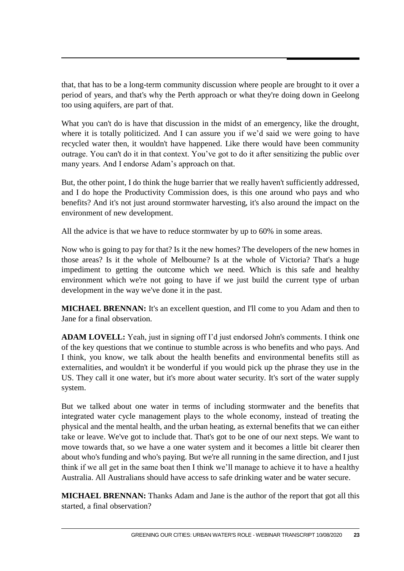that, that has to be a long-term community discussion where people are brought to it over a period of years, and that's why the Perth approach or what they're doing down in Geelong too using aquifers, are part of that.

What you can't do is have that discussion in the midst of an emergency, like the drought, where it is totally politicized. And I can assure you if we'd said we were going to have recycled water then, it wouldn't have happened. Like there would have been community outrage. You can't do it in that context. You've got to do it after sensitizing the public over many years. And I endorse Adam's approach on that.

But, the other point, I do think the huge barrier that we really haven't sufficiently addressed, and I do hope the Productivity Commission does, is this one around who pays and who benefits? And it's not just around stormwater harvesting, it's also around the impact on the environment of new development.

All the advice is that we have to reduce stormwater by up to 60% in some areas.

Now who is going to pay for that? Is it the new homes? The developers of the new homes in those areas? Is it the whole of Melbourne? Is at the whole of Victoria? That's a huge impediment to getting the outcome which we need. Which is this safe and healthy environment which we're not going to have if we just build the current type of urban development in the way we've done it in the past.

**MICHAEL BRENNAN:** It's an excellent question, and I'll come to you Adam and then to Jane for a final observation.

**ADAM LOVELL:** Yeah, just in signing off I'd just endorsed John's comments. I think one of the key questions that we continue to stumble across is who benefits and who pays. And I think, you know, we talk about the health benefits and environmental benefits still as externalities, and wouldn't it be wonderful if you would pick up the phrase they use in the US. They call it one water, but it's more about water security. It's sort of the water supply system.

But we talked about one water in terms of including stormwater and the benefits that integrated water cycle management plays to the whole economy, instead of treating the physical and the mental health, and the urban heating, as external benefits that we can either take or leave. We've got to include that. That's got to be one of our next steps. We want to move towards that, so we have a one water system and it becomes a little bit clearer then about who's funding and who's paying. But we're all running in the same direction, and I just think if we all get in the same boat then I think we'll manage to achieve it to have a healthy Australia. All Australians should have access to safe drinking water and be water secure.

**MICHAEL BRENNAN:** Thanks Adam and Jane is the author of the report that got all this started, a final observation?